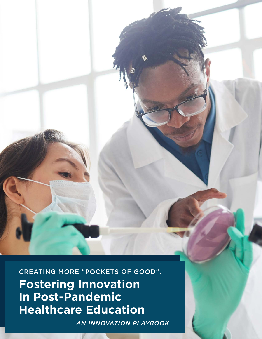CREATING MORE "POCKETS OF GOOD": **Fostering Innovation In Post-Pandemic Healthcare Education**

*AN INNOVATION PLAYBOOK*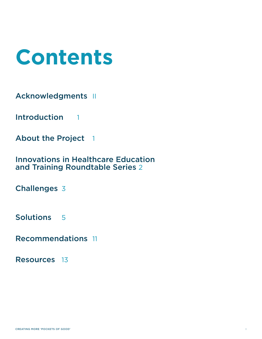

[Acknowledgments](#page-2-0) II

[Introduction](#page-3-0) 1

[About the Project](#page-3-0) 1

[Innovations in Healthcare Education](#page-4-0)  [and Training Roundtable Series](#page-4-0) 2

[Challenges](#page-5-0) 3

[Solutions](#page-7-0) 5

[Recommendations](#page-13-0) 11

[Resources](#page-15-0) 13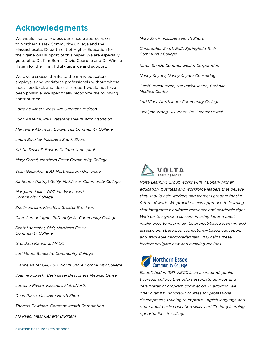*Scott Lancaster, PhD, Northern Essex Community College Gretchen Manning, MACC Lori Moon, Berkshire Community College*

*Sheila Jardim, MassHire Greater Brockton*

*Clare Lamontagne, PhD, Holyoke Community College*

We would like to express our sincere appreciation to Northern Essex Community College and the Massachusetts Department of Higher Education for their generous support of this paper. We are especially grateful to Dr. Kim Burns, David Cedrone and Dr. Winnie

<span id="page-2-0"></span>**Acknowledgments**

Hagan for their insightful guidance and support.

We owe a special thanks to the many educators, employers and workforce professionals without whose input, feedback and ideas this report would not have been possible. We specifically recognize the following

*Lorraine Albert, MassHire Greater Brockton*

*Laura Buckley, MassHire South Shore*

*Margaret Jaillet, DPT, Mt. Wachusett* 

*Community College*

*Kristin Driscoll, Boston Children's Hospital*

*Mary Farrell, Northern Essex Community College*

*Katherine (Kathy) Gehly, Middlesex Community College*

*Sean Gallagher, EdD, Northeastern University*

*John Anselmi, PhD, Veterans Health Administration*

*Maryanne Atkinson, Bunker Hill Community College*

contributors:

*Dianne Palter Gill, EdD, North Shore Community College*

*Joanne Pokaski, Beth Israel Deaconess Medical Center*

*Lorraine Rivera, MassHire MetroNorth*

*Dean Rizzo, MassHire North Shore*

*Theresa Rowland, Commonwealth Corporation*

*MJ Ryan, Mass General Brigham*

*Mary Sarris, MassHire North Shore*

*Christopher Scott, EdD, Springfield Tech Community College*

*Karen Shack, Commonwealth Corporation*

*Nancy Snyder, Nancy Snyder Consulting*

*Geoff Vercauteren, Network4Health, Catholic Medical Center*

*Lori Vinci, Northshore Community College* 

*Meelynn Wong, JD, MassHire Greater Lowell*



*Volta Learning Group works with visionary higher education, business and workforce leaders that believe they should help workers and learners prepare for the future of work. We provide a new approach to learning that integrates workforce relevance and academic rigor. With on-the-ground success in using labor market intelligence to inform digital project-based learning and assessment strategies, competency-based education, and stackable microcredentials, VLG helps these leaders navigate new and evolving realities.*

# **Northern Essex**<br>Community College

*Established in 1961, NECC is an accredited, public two-year college that offers associate degrees and certificates of program completion. In addition, we offer over 100 noncredit courses for professional development, training to improve English language and other adult basic education skills, and life-long learning opportunities for all ages.*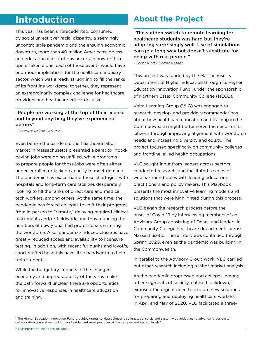## <span id="page-3-0"></span>**Introduction**

This year has been unprecedented, consumed by social unrest over racial disparity, a seemingly uncontrollable pandemic and the ensuing economic downturn, more than 40 million Americans jobless and educational institutions uncertain how or if to open. Taken alone, each of these events would have enormous implications for the healthcare industry sector, which was already struggling to fill the ranks of its frontline workforce; together, they represent an extraordinarily complex challenge for healthcare providers and healthcare educators alike.

### "People are working at the top of their license and beyond anything they've experienced before."

*–Hospital Administrator*

Even before the pandemic the healthcare labor market in Massachusetts presented a paradox: goodpaying jobs were going unfilled, while programs to prepare people for those jobs were often either under-enrolled or lacked capacity to meet demand. The pandemic has exacerbated these shortages, with hospitals and long-term care facilities desperately looking to fill the ranks of direct care and medical tech workers, among others. At the same time, the pandemic has forced colleges to shift their programs from in-person to "remote," delaying required clinical placements and/or fieldwork, and thus reducing the numbers of newly qualified professionals entering the workforce. Also, pandemic-induced closures have greatly reduced access and availability to licensure testing. In addition, with recent furloughs and layoffs, short-staffed hospitals have little bandwidth to help train students.

While the budgetary impacts of the changed economy and unpredictability of the virus make the path forward unclear, there are opportunities for innovative responses in healthcare education and training.

### **About the Project**

"The sudden switch to remote learning for healthcare students was hard but they're adapting surprisingly well. Use of simulations can go a long way but doesn't substitute for being with real people."

*–Community College Dean*

This project was funded by the Massachusetts Department of Higher Education through its Higher Education Innovation Fund<sup>1</sup>, under the sponsorship of Northern Essex Community College (NECC).

Volta Learning Group (VLG) was engaged to research, develop, and provide recommendations about how healthcare education and training in the Commonwealth might better serve the needs of its citizens through improving alignment with workforce needs and increasing diversity and equity. The project focused specifically on community colleges and frontline, allied health occupations.

VLG sought input from leaders across sectors, conducted research, and facilitated a series of webinar roundtables with leading educators, practitioners and policymakers. This Playbook presents the most innovative learning models and solutions that were highlighted during this process.

VLG began the research process before the onset of Covid-19 by interviewing members of an Advisory Group consisting of Deans and leaders in Community College healthcare departments across Massachusetts. These interviews continued through Spring 2020, even as the pandemic was building in the Commonwealth.

In parallel to the Advisory Group work, VLG carried out other research including a labor market analysis.

As the pandemic progressed and colleges, among other segments of society, entered lockdown, it exposed the urgent need to explore new solutions for preparing and deploying healthcare workers. In April and May of 2020, VLG facilitated a three-

<sup>1</sup> The Higher Education Innovation Fund provides grants to Massachusetts colleges, consortia and systemwide initiatives to advance "cross-system collaboration, innovative thinking, and evidence-based practices at the campus and system levels."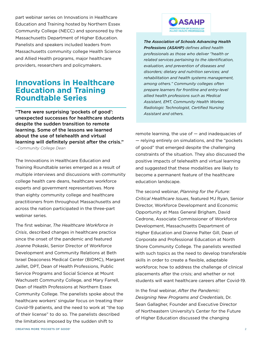<span id="page-4-0"></span>part webinar series on Innovations in Healthcare Education and Training hosted by Northern Essex Community College (NECC) and sponsored by the Massachusetts Department of Higher Education. Panelists and speakers included leaders from Massachusetts community college Health Science and Allied Health programs, major healthcare providers, researchers and policymakers.

### **Innovations in Healthcare Education and Training Roundtable Series**

"There were surprising 'pockets of good': unexpected successes for healthcare students despite the sudden transition to remote learning. Some of the lessons we learned about the use of telehealth and virtual learning will definitely persist after the crisis." *–Community College Dean*

The Innovations in Healthcare Education and Training Roundtable series emerged as a result of multiple interviews and discussions with community college health care deans, healthcare workforce experts and government representatives. More than eighty community college and healthcare practitioners from throughout Massachusetts and across the nation participated in the three-part webinar series.

The first webinar, *The Healthcare Workforce in Crisis*, described changes in healthcare practice since the onset of the pandemic and featured Joanne Pokaski, Senior Director of Workforce Development and Community Relations at Beth Israel Deaconess Medical Center (BIDMC), Margaret Jaillet, DPT, Dean of Health Professions, Public Service Programs and Social Science at Mount Wachusett Community College, and Mary Farrell, Dean of Health Professions at Northern Essex Community College. The panelists spoke about the healthcare workers' singular focus on treating their Covid-19 patients, and the need to work at "the top of their license" to do so. The panelists described the limitations imposed by the sudden shift to



*[The Association of Schools Advancing Health](http://www.asahp.org/what-is)  [Professions \(ASAHP\)](http://www.asahp.org/what-is) defines allied health professionals as those who deliver "health or related services pertaining to the identification, evaluation, and prevention of diseases and disorders; dietary and nutrition services; and rehabilitation and health systems management, among others." Community colleges often prepare learners for frontline and entry-level allied health professions such as Medical Assistant, EMT, Community Health Worker, Radiologic Technologist, Certified Nursing Assistant and others.*

remote learning, the use of — and inadequacies of — relying entirely on simulations, and the "pockets of good" that emerged despite the challenging constraints of the situation. They also discussed the positive impacts of telehealth and virtual learning and suggested that these modalities are likely to become a permanent feature of the healthcare education landscape.

The second webinar, *Planning for the Future: Critical Healthcare Issues*, featured MJ Ryan, Senior Director, Workforce Development and Economic Opportunity at Mass General Brigham, David Cedrone, Associate Commissioner of Workforce Development, Massachusetts Department of Higher Education and Dianne Palter Gill, Dean of Corporate and Professional Education at North Shore Community College. The panelists wrestled with such topics as the need to develop transferable skills in order to create a flexible, adaptable workforce; how to address the challenge of clinical placements after the crisis; and whether or not students will want healthcare careers after Covid-19.

In the final webinar, *After the Pandemic: Designing New Programs and Credentials*, Dr. Sean Gallagher, Founder and Executive Director of Northeastern University's Center for the Future of Higher Education discussed the changing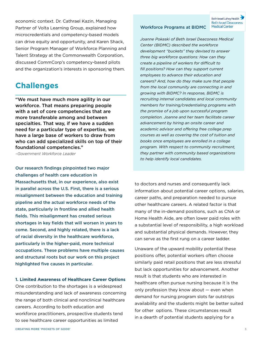<span id="page-5-0"></span>economic context. Dr. Cathrael Kazin, Managing Partner of Volta Learning Group, explained how microcredentials and competency-based models can drive equity and opportunity, and Karen Shack, Senior Program Manager of Workforce Planning and Talent Strategy at the Commonwealth Corporation, discussed CommCorp's competency-based pilots and the organization's interests in sponsoring them.

### **Challenges**

"We must have much more agility in our workforce. That means preparing people with a set of core competencies that are more transferable among and between specialties. That way, if we have a sudden need for a particular type of expertise, we have a large base of workers to draw from who can add specialized skills on top of their foundational competencies."

*–Government Workforce Leader*

Our research findings pinpointed two major challenges of health care education in Massachusetts that, in our experience, also exist in parallel across the U.S. First, there is a serious misalignment between the education and training pipeline and the actual workforce needs of the state, particularly in frontline and allied health fields. This misalignment has created serious shortages in key fields that will worsen in years to come. Second, and highly related, there is a lack of racial diversity in the healthcare workforce, particularly in the higher-paid, more technical occupations. These problems have multiple causes and structural roots but our work on this project highlighted five causes in particular.

#### **1. Limited Awareness of Healthcare Career Options**

One contribution to the shortages is a widespread misunderstanding and lack of awareness concerning the range of both clinical and nonclinical healthcare careers. According to both education and workforce practitioners, prospective students tend to see healthcare career opportunities as limited

Beth Israel Lahey Health

*Joanne Pokaski of Beth Israel Deaconess Medical Center (BIDMC) described the workforce development "buckets" they devised to answer three big workforce questions: How can they create a pipeline of workers for difficult to fill positions? How can they support current employees to advance their education and careers? And, how do they make sure that people from the local community are connecting in and growing with BIDMC? In response, BIDMC is recruiting internal candidates and local community members for training/credentialing programs with the promise of a job upon successful program completion. Joanne and her team facilitate career advancement by hiring an onsite career and academic advisor and offering free college prep courses as well as covering the cost of tuition and books once employees are enrolled in a college program. With respect to community recruitment, they partner with community based organizations to help identify local candidates.*

to doctors and nurses and consequently lack information about potential career options, salaries, career paths, and preparation needed to pursue other healthcare careers. A related factor is that many of the in-demand positions, such as CNA or Home Health Aide, are often lower paid roles with a substantial level of responsibility, a high workload and substantial physical demands. However, they can serve as the first rung on a career ladder.

Unaware of the upward mobility potential these positions offer, potential workers often choose similarly paid retail positions that are less stressful but lack opportunities for advancement. Another result is that students who are interested in healthcare often pursue nursing because it is the only profession they know about — even when demand for nursing program slots far outstrips availability and the students might be better suited for other options. These circumstances result in a dearth of potential students applying for a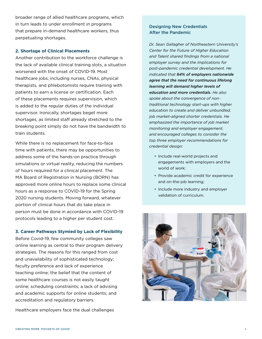broader range of allied healthcare programs, which in turn leads to under enrollment in programs that prepare in-demand healthcare workers, thus perpetuating shortages.

#### **2. Shortage of Clinical Placements**

Another contribution to the workforce challenge is the lack of available clinical training slots, a situation worsened with the onset of COVID-19. Most healthcare jobs, including nurses, CNAs, physical therapists, and phlebotomists require training with patients to earn a license or certification. Each of these placements requires supervision, which is added to the regular duties of the individual supervisor. Ironically, shortages beget more shortages, as limited staff already stretched to the breaking point simply do not have the bandwidth to train students.

While there is no replacement for face-to-face time with patients, there may be opportunities to address some of the hands-on practice through simulations or virtual reality, reducing the numbers of hours required for a clinical placement. The MA Board of Registration in Nursing (BORN) has approved more online hours to replace some clinical hours as a response to COVID-19 for the Spring 2020 nursing students. Moving forward, whatever portion of clinical hours that do take place in person must be done in accordance with COVID-19 protocols leading to a higher per student cost.

#### **3. Career Pathways Stymied by Lack of Flexibility**

Before Covid-19, few community colleges saw online learning as central to their program delivery strategies. The reasons for this ranged from cost and unavailability of sophisticated technology; faculty preference and lack of experience teaching online; the belief that the content of some healthcare courses is not easily taught online; scheduling constraints; a lack of advising and academic supports for online students; and accreditation and regulatory barriers.

Healthcare employers face the dual challenges

#### Designing New Credentials After the Pandemic

*Dr. Sean Gallagher of Northeastern University's Center for the Future of Higher Education and Talent shared findings from a national employer survey and the implications for post-pandemic credential development. He indicated that [64% of employers nationwide](https://www.northeastern.edu/cfhets/wp-content/uploads/2018/12/Educational_Credentials_Come_of_Age_2018.pdf)  [agree that the need for continuous lifelong](https://www.northeastern.edu/cfhets/wp-content/uploads/2018/12/Educational_Credentials_Come_of_Age_2018.pdf)  [learning will demand higher levels of](https://www.northeastern.edu/cfhets/wp-content/uploads/2018/12/Educational_Credentials_Come_of_Age_2018.pdf)  [education and more credentials.](https://www.northeastern.edu/cfhets/wp-content/uploads/2018/12/Educational_Credentials_Come_of_Age_2018.pdf) He also spoke about the convergence of nontraditional technology start-ups with higher education to create and deliver unbundled, job market-aligned shorter credentials. He emphasized the importance of job market monitoring and employer engagement, and encouraged colleges to consider the top three employer recommendations for credential design:*

- Include real-world projects and engagements with employers and the world of work;
- Provide academic credit for experience and on-the-job learning;
- Include more industry and employer validation of curriculum.

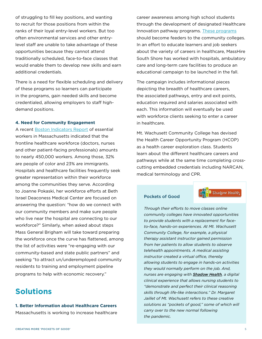<span id="page-7-0"></span>of struggling to fill key positions, and wanting to recruit for those positions from within the ranks of their loyal entry-level workers. But too often environmental services and other entrylevel staff are unable to take advantage of these opportunities because they cannot attend traditionally scheduled, face-to-face classes that would enable them to develop new skills and earn additional credentials.

There is a need for flexible scheduling and delivery of these programs so learners can participate in the programs, gain needed skills and become credentialed, allowing employers to staff highdemand positions.

#### **4. Need for Community Engagement**

A recent [Boston Indicators Report](https://www.bostonindicators.org/article-pages/2020/april/frontline_workers) of essential workers in Massachusetts indicated that the frontline healthcare workforce (doctors, nurses and other patient-facing professionals) amounts to nearly 450,000 workers. Among those, 32% are people of color and 23% are immigrants. Hospitals and healthcare facilities frequently seek greater representation within their workforce among the communities they serve. According to Joanne Pokaski, her workforce efforts at Beth Israel Deaconess Medical Center are focused on answering the question: "how do we connect with our community members and make sure people who live near the hospital are connecting to our workforce?" Similarly, when asked about steps Mass General Brigham will take toward preparing the workforce once the curve has flattened, among the list of activities were "re-engaging with our community-based and state public partners" and seeking "to attract un/underemployed community residents to training and employment pipeline programs to help with economic recovery."

### **Solutions**

#### **1. Better Information about Healthcare Careers** Massachusetts is working to increase healthcare

career awareness among high school students through the development of designated Healthcare Innovation pathway programs. [These programs](http://massconnecting.org/pathwaymapping/default.asp#mapping) should become feeders to the community colleges. In an effort to educate learners and job seekers about the variety of careers in healthcare, MassHire South Shore has worked with hospitals, ambulatory care and long-term care facilities to produce an educational campaign to be launched in the fall.

The campaign includes informational pieces depicting the breadth of healthcare careers, the associated pathways, entry and exit points, education required and salaries associated with each. This information will eventually be used with workforce clients seeking to enter a career in healthcare.

Mt. Wachusett Community College has devised the Health Career Opportunity Program (HCOP) as a health career exploration class. Students learn about the different healthcare careers and pathways while at the same time completing crosscutting embedded credentials including NARCAN, medical terminology and CPR.

#### Pockets of Good

Shadow Health

*Through their efforts to move classes online community colleges have innovated opportunities to provide students with a replacement for faceto-face, hands-on experiences. At Mt. Wachusett Community College, for example, a physical therapy assistant instructor gained permission from her patients to allow students to observe telehealth appointments. A medical assisting instructor created a virtual office, thereby allowing students to engage in hands-on activities they would normally perform on the job. And, nurses are engaging with [Shadow Health](https://www.shadowhealth.com/), a digital clinical experience that allows nursing students to "demonstrate and perfect their clinical reasoning skills through life-like interactions." Dr. Margaret Jaillet of Mt. Wachusett refers to these creative solutions as "pockets of good," some of which will carry over to the new normal following the pandemic.*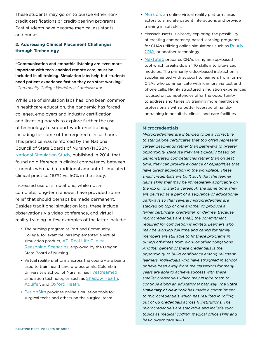These students may go on to pursue either noncredit certifications or credit-bearing programs. Past students have become medical assistants and nurses.

#### **2. Addressing Clinical Placement Challenges through Technology**

"Communication and empathic listening are even more important with tech-enabled remote care; must be included in all training. Simulation labs help but students need patient experience fast so they can start working." *–Community College Workforce Administrator* 

While use of simulation labs has long been common in healthcare education, the pandemic has forced colleges, employers and industry certification and licensing boards to explore further the use of technology to support workforce training, including for some of the required clinical hours. This practice was reinforced by the National Council of State Boards of Nursing (NCSBN) [National Simulation Study,](https://www.ncsbn.org/685.htm) published in 2014, that found no difference in clinical competency between students who had a traditional amount of simulated clinical practice (10%) vs. 50% in the study.

Increased use of simulations, while not a complete, long-term answer, have provided some relief that should perhaps be made permanent. Besides traditional simulation labs, these include observations via video conference, and virtual reality training. A few examples of the latter include:

- The nursing program at Portland Community College, for example, has implemented a virtual simulation product, ATI Real Life Clinical Reasoning Scenarios, approved by the Oregon State Board of Nursing.
- Virtual reality platforms across the country are being used to train healthcare professionals. Columbia University's School of Nursing has [livestreamed](https://garage.hp.com/us/en/innovation/covid19-vr-training-nurses-healthcare.html?fbclid=IwAR3JY8ruj46B0md23NozpHVD4OzfveaQFZ6HAZe9EHNVfpmSNv5pSR3iDy0) simulation technologies such as [Shadow Health](https://www.shadowhealth.com/), [Aquifer,](https://aquifer.org/) and [Oxford Heath.](http://oxfordmedicalsimulation.com/)
- [PeriopSim](https://blog.periopsim.com/periopsim-covid-19-response) provides online simulation tools for surgical techs and others on the surgical team.
- [Mursion,](https://www.mursion.com/) an online virtual reality platform, uses actors to simulate patient interactions and provide training in soft skills
- Massachusetts is already exploring the possibility of creating competency-based learning programs for CNAs utilizing online simulations such as [Ready](https://cinematichealtheducation.com/readycna/)  [CNA,](https://cinematichealtheducation.com/readycna/) or another technology.
- [NextStep](https://www.nextstep.careers/) prepares CNAs using an app-based tool which breaks down 140 skills into bite-sized modules. The primarily video-based instruction is supplemented with support to learners from former CNAs who communicate with learners via text and phone calls. Highly structured simulation experiences focused on competencies offer the opportunity to address shortages by training more healthcare professionals with a better leverage of handsontraining in hospitals, clinics, and care facilities.

#### **Microcredentials**

*Microcredentials are intended to be a corrective to standalone certificates that too often represent career dead-ends rather than pathways to greater opportunity. Because they are typically based on demonstrated competencies rather than on seat time, they can provide evidence of capabilities that have direct application in the workplace. These small credentials are built such that the learner gains skills that may be immediately applicable on the job or to start a career. At the same time, they are devised as a part of a sequence of educational pathways so that several microcredentials are stacked on top of one another to produce a larger certificate, credential, or degree. Because microcredentials are small, the commitment required for completion is limited. Learners who may be working full time and caring for family members are still able to fit these programs in during off-times from work or other obligations. Another benefit of these credentials is the opportunity to build confidence among reluctant learners. Individuals who have struggled in school or have been away from the classroom for many years are able to achieve success with these smaller credentials which may inspire them to continue along an educational pathway. [The State](https://system.suny.edu/academic-affairs/microcredentials/)  [University of New York](https://system.suny.edu/academic-affairs/microcredentials/) has made a commitment to microcredentials which has resulted in rolling out of 68 credentials across 11 institutions. The microcredentials are stackable and include such topics as medical coding, medical office skills and basic direct care skills.*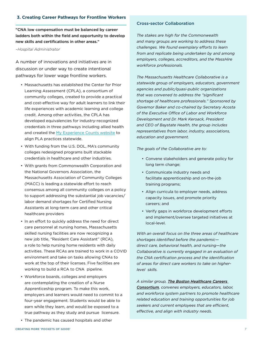#### **3. Creating Career Pathways for Frontline Workers**

"CNA low compensation must be balanced by career ladders both within the field and opportunity to develop new skills and certifications in other areas."

*–Hospital Administrator*

A number of innovations and initiatives are in discussion or under way to create intentional pathways for lower wage frontline workers.

- Massachusetts has established the Center for Prior Learning Assessment (CPLA), a consortium of community colleges, created to provide a practical and cost-effective way for adult learners to link their life experiences with academic learning and college credit. Among other activities, the CPLA has developed equivalencies for industry-recognized credentials in three pathways including allied health and created the [My Experience Counts website](https://myexperiencecounts.mass.edu/home) to align PLA practices statewide.
- With funding from the U.S. DOL, MA's community colleges redesigned programs built stackable credentials in healthcare and other industries.
- With grants from Commonwealth Corporation and the National Governors Association, the Massachusetts Association of Community Colleges (MACC) is leading a statewide effort to reach consensus among all community colleges on a policy to support addressing the substantial job vacancies/ labor demand shortages for Certified Nursing Assistants at long-term care and other critical healthcare providers
- In an effort to quickly address the need for direct care personnel at nursing homes, Massachusetts skilled nursing facilities are now recognizing a new job title, "Resident Care Assistant" (RCA), a role to help nursing home residents with daily activities. These RCAs are trained to work in a COVID environment and take on tasks allowing CNAs to work at the top of their licenses. Five facilities are working to build a RCA to CNA pipeline.
- Workforce boards, colleges and employers are contemplating the creation of a Nurse Apprenticeship program. To make this work, employers and learners would need to commit to a four-year engagement. Students would be able to earn while they learn, and would be exposed to a true pathway as they study and pursue licensure.
	-
- The pandemic has caused hospitals and other

#### Cross-sector Collaboration

*The stakes are high for the Commonwealth and many groups are working to address these challenges. We found exemplary efforts to learn from and replicate being undertaken by and among employers, colleges, accreditors, and the MassHire workforce professionals.*

*The Massachusetts Healthcare Collaborative is a statewide group of employers, educators, government agencies and public/quasi-public organizations that was convened to address the "significant shortage of healthcare professionals." Sponsored by Governor Baker and co-chaired by Secretary Acosta of the Executive Office of Labor and Workforce Development and Dr. Mark Keroack, President and CEO of Baystate Health, the group includes representatives from labor, industry, associations, education and government.*

*The goals of the Collaborative are to:*

- Convene stakeholders and generate policy for long term change;
- Communicate industry needs and facilitate apprenticeship and on-the-job training programs;
- Align curricula to employer needs, address capacity issues, and promote priority careers; and
- Verify gaps in workforce development efforts and implement/oversee targeted initiatives at local-level.

*With an overall focus on the three areas of healthcare shortages identified before the pandemic direct care, behavioral health, and nursing—the Collaborative is currently engaged in an evaluation of the CNA certification process and the identification of areas for direct care workers to take on higherlevel skills.*

*A similar group, [The Boston Healthcare Careers](http://bostonhcc.org/)  [Consortium](http://bostonhcc.org/), convenes employers, educators, labor, and workforce system partners to promote healthcare related education and training opportunities for job seekers and current employees that are efficient, effective, and align with industry needs*.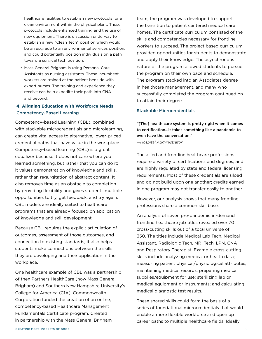healthcare facilities to establish new protocols for a clean environment within the physical plant. These protocols include enhanced training and the use of new equipment. There is discussion underway to establish a new "Clean Tech" position which would be an upgrade to an environmental services position, and could potentially position individuals on a path toward a surgical tech position.

• Mass General Brigham is using Personal Care Assistants as nursing assistants. These incumbent workers are trained at the patient bedside with expert nurses. The training and experience they receive can help expedite their path into CNA and beyond.

### **4. Aligning Education with Workforce Needs** Competency-Based Learning

Competency-based Learning (CBL), combined with stackable microcredentials and microlearning, can create vital access to alternative, lower-priced credential paths that have value in the workplace. Competency-based learning (CBL) is a great equalizer because it does not care where you learned something, but rather that you can do it; it values demonstration of knowledge and skills, rather than regurgitation of abstract content. It also removes time as an obstacle to completion by providing flexibility and gives students multiple opportunities to try, get feedback, and try again. CBL models are ideally suited to healthcare programs that are already focused on application of knowledge and skill development.

Because CBL requires the explicit articulation of outcomes, assessment of those outcomes, and connection to existing standards, it also helps students make connections between the skills they are developing and their application in the workplace.

One healthcare example of CBL was a partnership of then Partners HealthCare (now Mass General Brigham) and Southern New Hampshire University's College for America (CfA). Commonwealth Corporation funded the creation of an online, competency-based Healthcare Management Fundamentals Certificate program. Created in partnership with the Mass General Brigham

team, the program was developed to support the transition to patient centered medical care homes. The certificate curriculum consisted of the skills and competencies necessary for frontline workers to succeed. The project based curriculum provided opportunities for students to demonstrate and apply their knowledge. The asynchronous nature of the program allowed students to pursue the program on their own pace and schedule. The program stacked into an Associates degree in healthcare management, and many who successfully completed the program continued on to attain their degree.

#### Stackable Microcredentials

"[The] health care system is pretty rigid when it comes to certification...it takes something like a pandemic to even have the conversation."

*—Hospital Administrator*

The allied and frontline healthcare professions require a variety of certifications and degrees, and are highly regulated by state and federal licensing requirements. Most of these credentials are siloed and do not build upon one another; credits earned in one program may not transfer easily to another.

However, our analysis shows that many frontline professions share a common skill base.

An analysis of seven pre-pandemic in-demand frontline healthcare job titles revealed over 70 cross-cutting skills out of a total universe of 350. The titles include Medical Lab Tech, Medical Assistant, Radiologic Tech, MRI Tech, LPN, CNA and Respiratory Therapist. Example cross-cutting skills include analyzing medical or health data; measuring patient physical/physiological attributes; maintaining medical records; preparing medical supplies/equipment for use; sterilizing lab or medical equipment or instruments; and calculating medical diagnostic test results.

These shared skills could form the basis of a series of foundational microcredentials that would enable a more flexible workforce and open up career paths to multiple healthcare fields. Ideally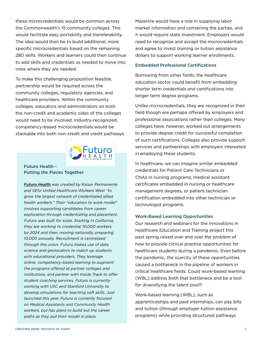these microcredentials would be common across the Commonwealth's 15 community colleges. This would facilitate easy portability and transferability. The idea would then be to build additional, more specific microcredentials based on the remaining 280 skills. Workers and learners could then continue to add skills and credentials as needed to move into roles where they are needed.

To make this challenging proposition feasible, partnership would be required across the community colleges, regulatory agencies, and healthcare providers. Within the community colleges, educators and administrators on both the non-credit and academic sides of the colleges would need to be involved. Industry-recognized, competency-based microcredentials would be stackable into both non-credit and credit pathways.



#### Futuro Health - Putting the Pieces Together

*[Futuro Health](https://futurohealth.org/about/) was created by Kaiser Permanente and SEIU-United Healthcare Workers West "to grow the largest network of credentialed allied health workers." Their "education to work model" involves supporting candidates from career exploration through credentialing and placement. Futuro was built for scale. Starting in California, they are working to credential 10,000 workers by 2024 and then, moving nationally, preparing 10,000 annually. Recruitment is centralized through the union. Futuro makes use of data science and geolocators to match up students with educational providers. They leverage online, competency-based learning to augment the programs offered at partner colleges and institutions, and partner with Inside Track to offer student coaching services. Futuro is currently working with USC and Stanford University to develop simulations for teaching soft skills. Just launched this year, Futuro is currently focused on Medical Assistants and Community Health workers, but has plans to build out the career paths as they put their model in place.*

MassHire would have a role in supplying labor market information and convening the parties, and it would require state investment. Employers would need to recognize and accept the microcredentials and agree to invest training or tuition assistance dollars to support working learner enrollments.

#### Embedded Professional Certifications

Borrowing from other fields, the healthcare education sector could benefit from embedding shorter term credentials and certifications into longer term degree programs.

Unlike microcredentials, they are recognized in their field though are perhaps offered by employers and professional associations rather than colleges. Many colleges have, however, worked out arrangements to provide degree credit for successful completion of such certifications. Colleges also provide support services and partnerships with employers interested in employing these students.

In healthcare, we can imagine similar embedded credentials for Patient Care Technicians or CNAs in nursing programs, medical assistant certificates embedded in nursing or healthcare management degrees, or patient technician certification embedded into other technician or technologist programs.

#### Work-Based Learning Opportunities

Our research and webinars for the Innovations in Healthcare Education and Training project this past spring raised over and over the problem of how to provide clinical practice opportunities for healthcare students during a pandemic. Even before the pandemic, the scarcity of these opportunities caused a bottleneck in the pipeline of workers in critical healthcare fields. Could work-based learning (WBL) address both that bottleneck and be a tool for diversifying the talent pool?

Work-based learning (WBL), such as apprenticeships and paid internships, can pay bills and tuition (through employer tuition assistance programs) while providing structured pathways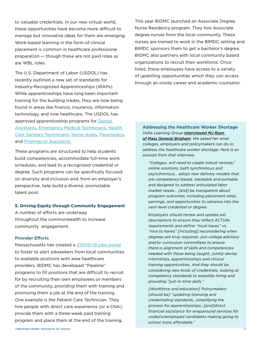to valuable credentials. In our new virtual world, these opportunities have become more difficult to manage but innovative ideas for them are emerging. Work-based learning in the form of clinical placement is common in healthcare professional preparation — though these are not paid roles as are WBL roles.

The U.S. Department of Labor (USDOL) has recently outlined a new set of standards for Industry-Recognized Apprenticeships (IRAPs). While apprenticeships have long been important training for the building trades, they are now being found in areas like finance, insurance, information technology, and now healthcare. The USDOL has approved apprenticeship programs for **Dental** [Assistants,](https://innovativeapprenticeship.org/oc_st_post/dental-assistant/) [Emergency Medical Technicians,](https://innovativeapprenticeship.org/oc_st_post/emergency-medical-technician-2/) [Health](https://innovativeapprenticeship.org/oc_st_post/health-care-sanitary-technician/)  [Care Sanitary Technicians](https://innovativeapprenticeship.org/oc_st_post/health-care-sanitary-technician/), [Nurse Aides,](https://innovativeapprenticeship.org/oc_st_post/nurse-aide/) [Paramedics,](https://innovativeapprenticeship.org/oc_st_post/paramedic-2/) and [Pharmacist Assistants.](https://innovativeapprenticeship.org/oc_st_post/pharmacist-assistant/)

These programs are structured to help students build competencies, accommodate full-time work schedules, and lead to a recognized credential or degree. Such programs can be specifically focused on diversity and inclusion and, from an employer's perspective, help build a diverse, promotable talent pool.

#### **5. Driving Equity through Community Engagement**

A number of efforts are underway throughout the commonwealth to increase community engagement.

#### Provider Efforts

Massachusetts has created a [COVID-19 jobs portal](https://www.mass.gov/info-details/apply-for-jobs-at-covid-19-temporary-care-sites) to foster to alert jobseekers from local communities to available positions with area healthcare providers. BIDMC has developed "Pipeline" programs to fill positions that are difficult to recruit for by recruiting their own employees or members of the community, providing them with training and promising them a job at the end of the training. One example is the Patient Care Technician. They hire people with direct care experience (or a CNA), provide them with a three-week paid training program and place them at the end of the training.

This year BIDMC launched an Associate Degree Nurse Residency program. They hire Associate degree nurses from the local community. These nurses are trained to work in the BIMDC setting and BIMDC sponsors them to get a bachelor's degree. BIDMC also partners with local community based organizations to recruit their workforce. Once hired, these employees have access to a variety of upskilling opportunities which they can access through an onsite career and academic counselor.

Addressing the Healthcare Worker Shortage *Volta Learning Group interviewed [MJ Ryan](https://www.voltalearninggroup.com/2020/06/18/beyond-heroism-changing-the-trajectory-for-frontline-healthcare-workers/)  [of Mass General Brigham](https://www.voltalearninggroup.com/2020/06/18/beyond-heroism-changing-the-trajectory-for-frontline-healthcare-workers/). We asked her what colleges, employers and policymakers can do to address the healthcare worker shortage. Here is an excerpt from that interview.* 

*"Colleges...will need to create robust remote/ online solutions, both synchronous and asynchronous... adopt new delivery models that are competency-based, stackable and portable, and designed to address articulated labor market needs... [and] be transparent about program outcomes, including placement rates, earnings, and opportunities to advance into the next-level credential or degree.* 

*Employers should review and update job descriptions to ensure they reflect ACTUAL requirements and define "must haves" vs. "nice to haves" [including] reconsidering when degrees are truly required...join college advisory and/or curriculum committees to ensure there is alignment of skills and competencies needed with those being taught...jointly devise internships, apprenticeships and clinical training opportunities. And they should be considering new kinds of credentials, looking at competency standards to expedite hiring and providing "just-in-time skills."*

*[Workforce and education] Policymakers [should be] "updating licensing and credentialing standards...simplifying the process for apprenticeships…[and]direct financial assistance for wraparound services for under/unemployed candidates making going to school more affordable."*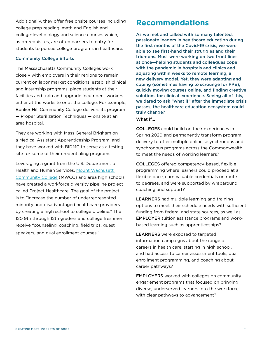<span id="page-13-0"></span>Additionally, they offer free onsite courses including college prep reading, math and English and college-level biology and science courses which, as prerequisites, are often barriers to entry for students to pursue college programs in healthcare.

#### Community College Efforts

The Massachusetts Community Colleges work closely with employers in their regions to remain current on labor market conditions, establish clinical and internship programs, place students at their facilities and train and upgrade incumbent workers either at the worksite or at the college. For example, Bunker Hill Community College delivers its program — Proper Sterilization Techniques — onsite at an area hospital.

They are working with Mass General Brigham on a Medical Assistant Apprenticeship Program, and they have worked with BIDMC to serve as a testing site for some of their credentialing programs.

Leveraging a grant from the U.S. Department of Health and Human Services, [Mount Wachusett](https://mwcc.edu/academics/k-12/programs/healthcare/)  [Community College](https://mwcc.edu/academics/k-12/programs/healthcare/) (MWCC) and area high schools have created a workforce diversity pipeline project called Project Healthcare. The goal of the project is to "increase the number of underrepresented minority and disadvantaged healthcare providers by creating a high school to college pipeline." The 120 9th through 12th graders and college freshmen receive "counseling, coaching, field trips, guest speakers, and dual enrollment courses."

### **Recommendations**

As we met and talked with so many talented, passionate leaders in healthcare education during the first months of the Covid-19 crisis, we were able to see first-hand their struggles and their triumphs. Most were working on two front lines at once—helping students and colleagues cope with the pandemic in hospitals and clinics and adjusting within weeks to remote learning, a new delivery model. Yet, they were adapting and coping (sometimes having to scrounge for PPE), quickly moving courses online, and finding creative solutions for clinical experience. Seeing all of this, we dared to ask "what if" after the immediate crisis passes, the healthcare education ecosystem could truly change?

#### What if...

COLLEGES could build on their experiences in Spring 2020 and permanently transform program delivery to offer multiple online, asynchronous and synchronous programs across the Commonwealth to meet the needs of working learners?

COLLEGES offered competency-based, flexible programming where learners could proceed at a flexible pace, earn valuable credentials on route to degrees, and were supported by wraparound coaching and support?

LEARNERS had multiple learning and training options to meet their schedule needs with sufficient funding from federal and state sources, as well as EMPLOYER tuition assistance programs and workbased learning such as apprenticeships?

LEARNERS were exposed to targeted information campaigns about the range of careers in health care, starting in high school, and had access to career assessment tools, dual enrollment programming, and coaching about career pathways?

EMPLOYERS worked with colleges on community engagement programs that focused on bringing diverse, underserved learners into the workforce with clear pathways to advancement?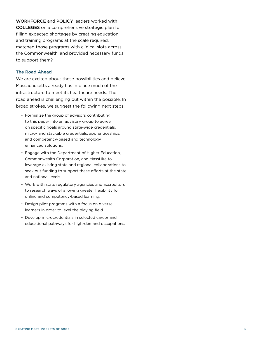WORKFORCE and POLICY leaders worked with COLLEGES on a comprehensive strategic plan for filling expected shortages by creating education and training programs at the scale required, matched those programs with clinical slots across the Commonwealth, and provided necessary funds to support them?

#### The Road Ahead

We are excited about these possibilities and believe Massachusetts already has in place much of the infrastructure to meet its healthcare needs. The road ahead is challenging but within the possible. In broad strokes, we suggest the following next steps:

- Formalize the group of advisors contributing to this paper into an advisory group to agree on specific goals around state-wide credentials, micro- and stackable credentials, apprenticeships, and competency-based and technology enhanced solutions.
- Engage with the Department of Higher Education, Commonwealth Corporation, and MassHire to leverage existing state and regional collaborations to seek out funding to support these efforts at the state and national levels.
- Work with state regulatory agencies and accreditors to research ways of allowing greater flexibility for online and competency-based learning.
- Design pilot programs with a focus on diverse learners in order to level the playing field.
- Develop microcredentials in selected career and educational pathways for high-demand occupations.